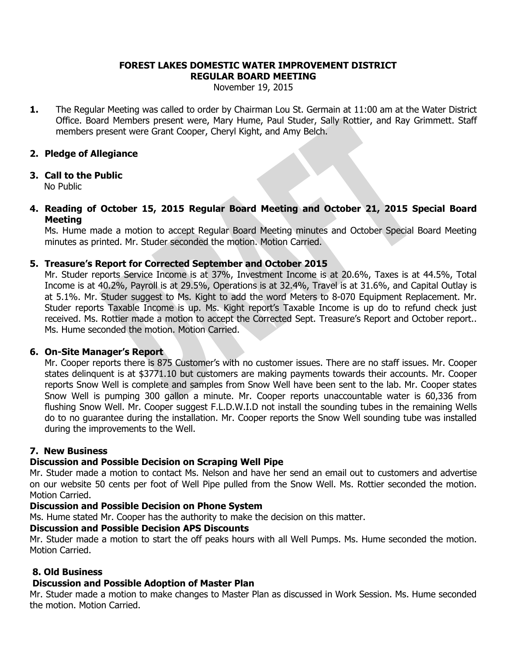#### **FOREST LAKES DOMESTIC WATER IMPROVEMENT DISTRICT REGULAR BOARD MEETING**

November 19, 2015

**1.** The Regular Meeting was called to order by Chairman Lou St. Germain at 11:00 am at the Water District Office. Board Members present were, Mary Hume, Paul Studer, Sally Rottier, and Ray Grimmett. Staff members present were Grant Cooper, Cheryl Kight, and Amy Belch.

## **2. Pledge of Allegiance**

## **3. Call to the Public**

No Public

## **4. Reading of October 15, 2015 Regular Board Meeting and October 21, 2015 Special Board Meeting**

Ms. Hume made a motion to accept Regular Board Meeting minutes and October Special Board Meeting minutes as printed. Mr. Studer seconded the motion. Motion Carried.

## **5. Treasure's Report for Corrected September and October 2015**

Mr. Studer reports Service Income is at 37%, Investment Income is at 20.6%, Taxes is at 44.5%, Total Income is at 40.2%, Payroll is at 29.5%, Operations is at 32.4%, Travel is at 31.6%, and Capital Outlay is at 5.1%. Mr. Studer suggest to Ms. Kight to add the word Meters to 8-070 Equipment Replacement. Mr. Studer reports Taxable Income is up. Ms. Kight report's Taxable Income is up do to refund check just received. Ms. Rottier made a motion to accept the Corrected Sept. Treasure's Report and October report.. Ms. Hume seconded the motion. Motion Carried.

#### **6. On-Site Manager's Report**

Mr. Cooper reports there is 875 Customer's with no customer issues. There are no staff issues. Mr. Cooper states delinquent is at \$3771.10 but customers are making payments towards their accounts. Mr. Cooper reports Snow Well is complete and samples from Snow Well have been sent to the lab. Mr. Cooper states Snow Well is pumping 300 gallon a minute. Mr. Cooper reports unaccountable water is 60,336 from flushing Snow Well. Mr. Cooper suggest F.L.D.W.I.D not install the sounding tubes in the remaining Wells do to no guarantee during the installation. Mr. Cooper reports the Snow Well sounding tube was installed during the improvements to the Well.

# **7. New Business**

# **Discussion and Possible Decision on Scraping Well Pipe**

Mr. Studer made a motion to contact Ms. Nelson and have her send an email out to customers and advertise on our website 50 cents per foot of Well Pipe pulled from the Snow Well. Ms. Rottier seconded the motion. Motion Carried.

#### **Discussion and Possible Decision on Phone System**

Ms. Hume stated Mr. Cooper has the authority to make the decision on this matter.

## **Discussion and Possible Decision APS Discounts**

Mr. Studer made a motion to start the off peaks hours with all Well Pumps. Ms. Hume seconded the motion. Motion Carried.

# **8. Old Business**

# **Discussion and Possible Adoption of Master Plan**

Mr. Studer made a motion to make changes to Master Plan as discussed in Work Session. Ms. Hume seconded the motion. Motion Carried.